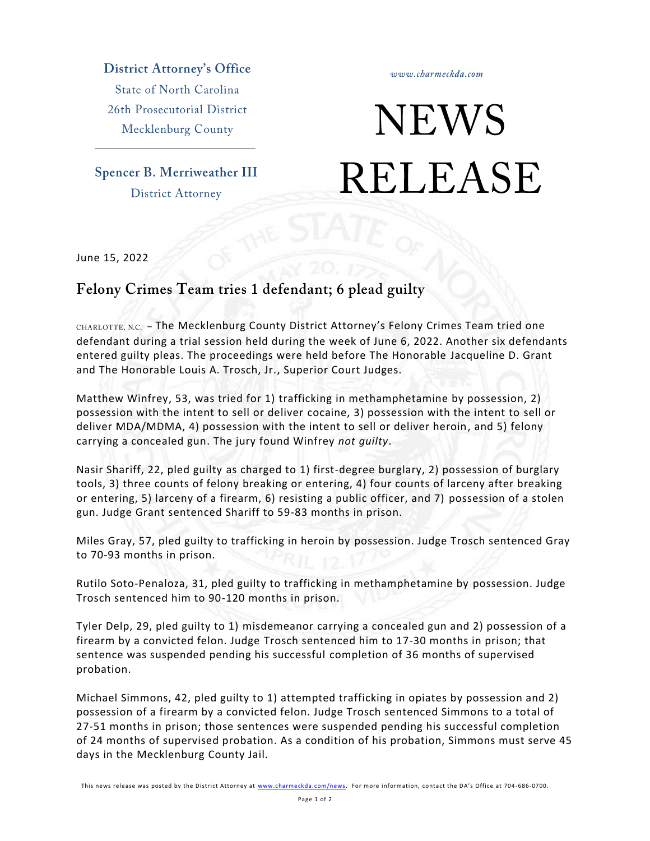**District Attorney's Office** 

**State of North Carolina** 26th Prosecutorial District Mecklenburg County

**Spencer B. Merriweather III District Attorney** 

www.charmeckda.com

## **NEWS RELEASE**

June 15, 2022

## Felony Crimes Team tries 1 defendant; 6 plead guilty

CHARLOTTE, N.C. - The Mecklenburg County District Attorney's Felony Crimes Team tried one defendant during a trial session held during the week of June 6, 2022. Another six defendants entered guilty pleas. The proceedings were held before The Honorable Jacqueline D. Grant and The Honorable Louis A. Trosch, Jr., Superior Court Judges.

Matthew Winfrey, 53, was tried for 1) trafficking in methamphetamine by possession, 2) possession with the intent to sell or deliver cocaine, 3) possession with the intent to sell or deliver MDA/MDMA, 4) possession with the intent to sell or deliver heroin, and 5) felony carrying a concealed gun. The jury found Winfrey *not guilty*.

Nasir Shariff, 22, pled guilty as charged to 1) first-degree burglary, 2) possession of burglary tools, 3) three counts of felony breaking or entering, 4) four counts of larceny after breaking or entering, 5) larceny of a firearm, 6) resisting a public officer, and 7) possession of a stolen gun. Judge Grant sentenced Shariff to 59-83 months in prison.

Miles Gray, 57, pled guilty to trafficking in heroin by possession. Judge Trosch sentenced Gray to 70-93 months in prison.

Rutilo Soto-Penaloza, 31, pled guilty to trafficking in methamphetamine by possession. Judge Trosch sentenced him to 90-120 months in prison.

Tyler Delp, 29, pled guilty to 1) misdemeanor carrying a concealed gun and 2) possession of a firearm by a convicted felon. Judge Trosch sentenced him to 17-30 months in prison; that sentence was suspended pending his successful completion of 36 months of supervised probation.

Michael Simmons, 42, pled guilty to 1) attempted trafficking in opiates by possession and 2) possession of a firearm by a convicted felon. Judge Trosch sentenced Simmons to a total of 27-51 months in prison; those sentences were suspended pending his successful completion of 24 months of supervised probation. As a condition of his probation, Simmons must serve 45 days in the Mecklenburg County Jail.